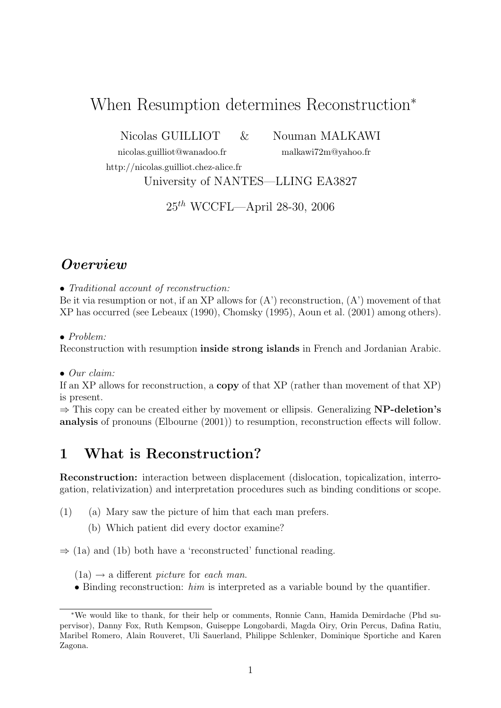# When Resumption determines Reconstruction<sup>∗</sup>

Nicolas GUILLIOT & Nouman MALKAWI

http://nicolas.guilliot.chez-alice.fr

nicolas.guilliot@wanadoo.fr malkawi72m@yahoo.fr

University of NANTES—LLING EA3827

25th WCCFL—April 28-30, 2006

## **Overview**

• Traditional account of reconstruction:

Be it via resumption or not, if an XP allows for  $(A')$  reconstruction,  $(A')$  movement of that XP has occurred (see Lebeaux (1990), Chomsky (1995), Aoun et al. (2001) among others).

• Problem:

Reconstruction with resumption inside strong islands in French and Jordanian Arabic.

• Our claim:

If an XP allows for reconstruction, a copy of that XP (rather than movement of that XP) is present.

 $\Rightarrow$  This copy can be created either by movement or ellipsis. Generalizing **NP-deletion's** analysis of pronouns (Elbourne (2001)) to resumption, reconstruction effects will follow.

## 1 What is Reconstruction?

Reconstruction: interaction between displacement (dislocation, topicalization, interrogation, relativization) and interpretation procedures such as binding conditions or scope.

- (1) (a) Mary saw the picture of him that each man prefers.
	- (b) Which patient did every doctor examine?

 $\Rightarrow$  (1a) and (1b) both have a 'reconstructed' functional reading.

 $(1a) \rightarrow a$  different *picture* for each man.

• Binding reconstruction: him is interpreted as a variable bound by the quantifier.

<sup>∗</sup>We would like to thank, for their help or comments, Ronnie Cann, Hamida Demirdache (Phd supervisor), Danny Fox, Ruth Kempson, Guiseppe Longobardi, Magda Oiry, Orin Percus, Dafina Ratiu, Maribel Romero, Alain Rouveret, Uli Sauerland, Philippe Schlenker, Dominique Sportiche and Karen Zagona.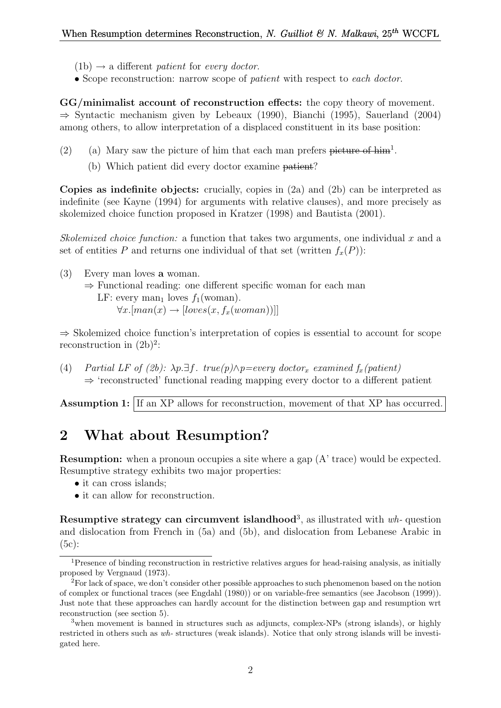- $(1b) \rightarrow a$  different patient for every doctor.
- Scope reconstruction: narrow scope of *patient* with respect to each doctor.

GG/minimalist account of reconstruction effects: the copy theory of movement. ⇒ Syntactic mechanism given by Lebeaux (1990), Bianchi (1995), Sauerland (2004) among others, to allow interpretation of a displaced constituent in its base position:

- (2) (a) Mary saw the picture of him that each man prefers  $\overline{\text{picture of him}}^1$ .
	- (b) Which patient did every doctor examine patient?

Copies as indefinite objects: crucially, copies in  $(2a)$  and  $(2b)$  can be interpreted as indefinite (see Kayne (1994) for arguments with relative clauses), and more precisely as skolemized choice function proposed in Kratzer (1998) and Bautista (2001).

Skolemized choice function: a function that takes two arguments, one individual x and a set of entities P and returns one individual of that set (written  $f_x(P)$ ):

(3) Every man loves a woman. ⇒ Functional reading: one different specific woman for each man LF: every man<sub>1</sub> loves  $f_1(\text{woman})$ .  $\forall x. [man(x) \rightarrow [loves(x, f_x(woman))]]$ 

⇒ Skolemized choice function's interpretation of copies is essential to account for scope reconstruction in  $(2b)^2$ :

(4) Partial LF of (2b):  $\lambda p.\exists f$ . true(p) $\wedge p =$ every doctor<sub>x</sub> examined  $f_x$ (patient) ⇒ 'reconstructed' functional reading mapping every doctor to a different patient

Assumption 1: If an XP allows for reconstruction, movement of that XP has occurred.

### 2 What about Resumption?

Resumption: when a pronoun occupies a site where a gap (A' trace) would be expected. Resumptive strategy exhibits two major properties:

- it can cross islands;
- it can allow for reconstruction.

Resumptive strategy can circumvent islandhood<sup>3</sup>, as illustrated with  $wh$ - question and dislocation from French in (5a) and (5b), and dislocation from Lebanese Arabic in (5c):

<sup>1</sup>Presence of binding reconstruction in restrictive relatives argues for head-raising analysis, as initially proposed by Vergnaud (1973).

<sup>2</sup>For lack of space, we don't consider other possible approaches to such phenomenon based on the notion of complex or functional traces (see Engdahl (1980)) or on variable-free semantics (see Jacobson (1999)). Just note that these approaches can hardly account for the distinction between gap and resumption wrt reconstruction (see section 5).

<sup>&</sup>lt;sup>3</sup> when movement is banned in structures such as adjuncts, complex-NPs (strong islands), or highly restricted in others such as wh- structures (weak islands). Notice that only strong islands will be investigated here.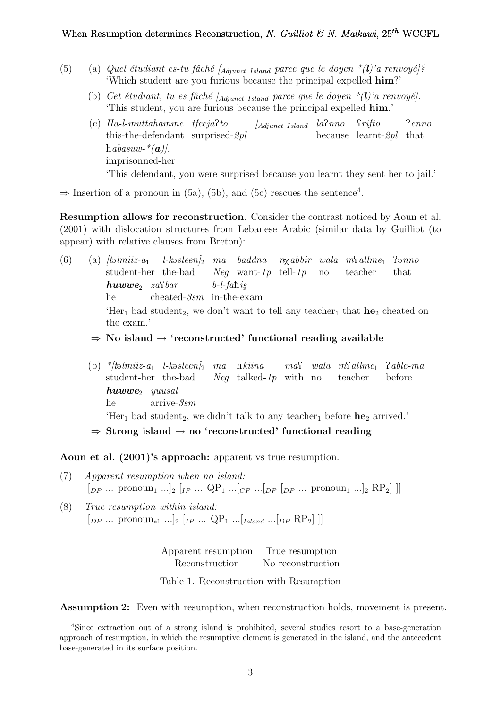- (5) (a) Quel étudiant es-tu fâché [Adjunct Island parce que le doyen  $*(l)$ 'a renvoyé]? 'Which student are you furious because the principal expelled him?'
	- (b) Cet étudiant, tu es fâché  $A_{dipnet}$  Island parce que le doyen  $*(l)$ 'a renvoyé]. 'This student, you are furious because the principal expelled him.'
	- (c) Ha-l-muttahamme tfeejaPto this-the-defendant surprised-2pl  $\int_{\text{Adiunct Island}}$   $la$   $\ln$ because learnt-2pl that *Srifto* Penno habasuw- $*(a)$ . imprisonned-her 'This defendant, you were surprised because you learnt they sent her to jail.'

 $\Rightarrow$  Insertion of a pronoun in (5a), (5b), and (5c) rescues the sentence<sup>4</sup>.

Resumption allows for reconstruction. Consider the contrast noticed by Aoun et al. (2001) with dislocation structures from Lebanese Arabic (similar data by Guilliot (to appear) with relative clauses from Breton):

- (6) (a)  $\textit{talmiiz-a}_1$ student-her the-bad  $l$ -kəsleen $l_2$  ma baddna n $\chi$ abbir wala m $\Omega$ allme<sub>1</sub> Neg want-1p tell-1p no teacher  $P<sub>9</sub>nno$ that  $huvw$ e<sub>2</sub> zastbar he cheated-3sm in-the-exam  $b$ -l-fahis 'Her<sub>1</sub> bad student<sub>2</sub>, we don't want to tell any teacher<sub>1</sub> that  $he_2$  cheated on the exam.'
	- $\Rightarrow$  No island  $\rightarrow$  'reconstructed' functional reading available
	- (b) \*/təlmiiz-a<sub>1</sub> l-kəsleen/<sub>2</sub> ma hkiina student-her the-bad Neg talked-1p with no  $ma\Omega$  wala  $m\Omega$ allme<sub>1</sub>  $\Omega$ able-ma teacher before  $huvw$ e<sub>2</sub> yuusal he arrive-3sm 'Her<sub>1</sub> bad student<sub>2</sub>, we didn't talk to any teacher<sub>1</sub> before  $he_2$  arrived.'  $\Rightarrow$  Strong island  $\rightarrow$  no 'reconstructed' functional reading

Aoun et al. (2001)'s approach: apparent vs true resumption.

- (7) Apparent resumption when no island:  $[p_P \dots \text{ pronoun}_1 \dots]_2 [I_P \dots QP_1 \dots [C_P \dots]_{DP} [I_P \dots \text{ pronoun}_1 \dots]_2 RP_2]$
- (8) True resumption within island:  $[p_P \dots \text{ pronoun}_{*1} \dots]_2$   $[p_P \dots QP_1 \dots [I_{sland} \dots]_D P_R P_2]$  ||

| Apparent resumption | True resumption   |
|---------------------|-------------------|
| Reconstruction      | No reconstruction |

Table 1. Reconstruction with Resumption

Assumption 2: Even with resumption, when reconstruction holds, movement is present.

<sup>4</sup>Since extraction out of a strong island is prohibited, several studies resort to a base-generation approach of resumption, in which the resumptive element is generated in the island, and the antecedent base-generated in its surface position.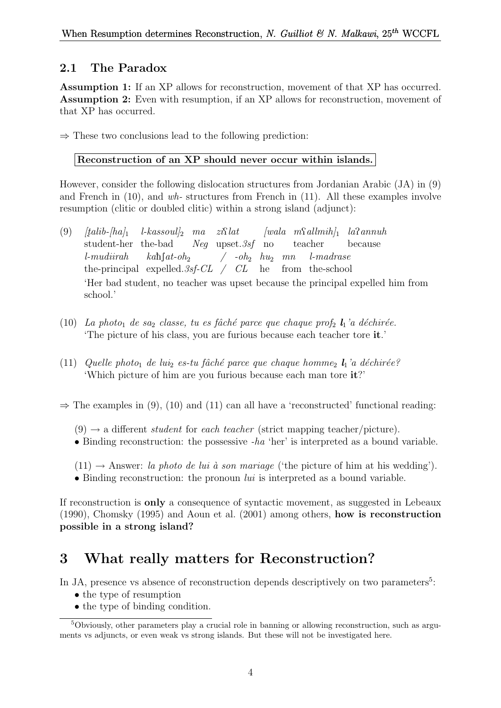### 2.1 The Paradox

Assumption 1: If an XP allows for reconstruction, movement of that XP has occurred. Assumption 2: Even with resumption, if an XP allows for reconstruction, movement of that XP has occurred.

 $\Rightarrow$  These two conclusions lead to the following prediction:

### Reconstruction of an XP should never occur within islands.

However, consider the following dislocation structures from Jordanian Arabic (JA) in (9) and French in  $(10)$ , and wh-structures from French in  $(11)$ . All these examples involve resumption (clitic or doubled clitic) within a strong island (adjunct):

- $(9)$  [talib- $|h_a|_1$ ] student-her the-bad  $l$ -kassoul]<sub>2</sub> ma zi $\Omega$ lat Neg upset.3sf no  $[wala \t mSallmih]_1$   $la$ sannuh teacher because l-mudiirah the-principal expelled.  $3sf\text{-}CL$  /  $CL$  he from the-school  $kah[at\text{-}oh_2$  $\int$  -oh<sub>2</sub>  $hu_2$  mn l-madrase 'Her bad student, no teacher was upset because the principal expelled him from school.'
- (10) La photo<sub>1</sub> de sa<sub>2</sub> classe, tu es fâché parce que chaque prof<sub>2</sub>  $\mathbf{l}_1$ 'a déchirée. 'The picture of his class, you are furious because each teacher tore it.'
- (11) Quelle photo<sub>1</sub> de lui<sub>2</sub> es-tu fâché parce que chaque homme<sub>2</sub>  $l_1$ 'a déchirée? 'Which picture of him are you furious because each man tore it?'

 $\Rightarrow$  The examples in (9), (10) and (11) can all have a 'reconstructed' functional reading:

 $(9) \rightarrow$  a different *student* for *each teacher* (strict mapping teacher/picture).

- Binding reconstruction: the possessive  $-ha$  'her' is interpreted as a bound variable.
- $(11) \rightarrow$  Answer: *la photo de lui à son mariage* ('the picture of him at his wedding').
- Binding reconstruction: the pronoun  $lui$  is interpreted as a bound variable.

If reconstruction is only a consequence of syntactic movement, as suggested in Lebeaux (1990), Chomsky (1995) and Aoun et al. (2001) among others, how is reconstruction possible in a strong island?

## 3 What really matters for Reconstruction?

In JA, presence vs absence of reconstruction depends descriptively on two parameters<sup>5</sup>:

- the type of resumption
- the type of binding condition.

<sup>5</sup>Obviously, other parameters play a crucial role in banning or allowing reconstruction, such as arguments vs adjuncts, or even weak vs strong islands. But these will not be investigated here.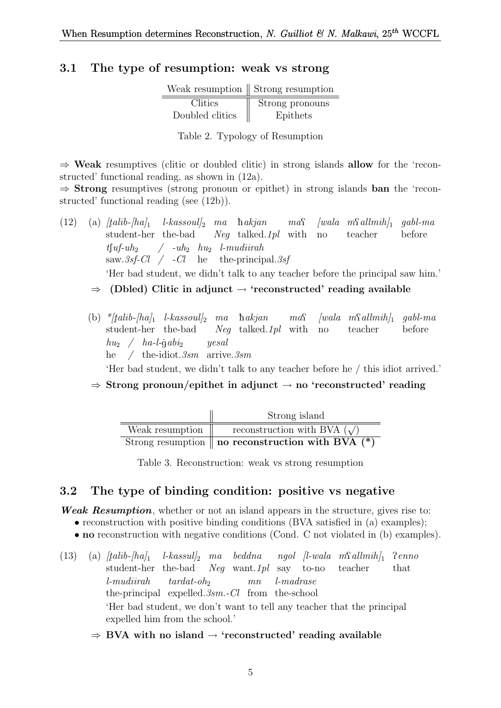#### 3.1 The type of resumption: weak vs strong

|                 | Weak resumption $\parallel$ Strong resumption |  |  |
|-----------------|-----------------------------------------------|--|--|
| Clitics         | Strong pronouns                               |  |  |
| Doubled clitics | Epithets                                      |  |  |

Table 2. Typology of Resumption

 $\Rightarrow$  Weak resumptives (clitic or doubled clitic) in strong islands allow for the 'reconstructed' functional reading, as shown in (12a).

 $\Rightarrow$  **Strong** resumptives (strong pronoun or epithet) in strong islands **ban** the 'reconstructed' functional reading (see (12b)).

- $(12)$  (a)  $\frac{1}{ab-b}$   $\frac{1}{2}$ student-her the-bad  $l$ -kassoul $l_2$  ma hakjan Neg talked.1pl with no  $ma\Omega$  $[wala \ mS \, allmih]_1$ teacher gabl-ma before  $t\lceil uf\text{-}uh_2\rceil$  $\text{ saw.3sf-Cl}$  /  $\text{-Cl}$  he the-principal.3sf  $\int$  -uh<sub>2</sub> hu<sub>2</sub> l-mudiirah 'Her bad student, we didn't talk to any teacher before the principal saw him.'  $\Rightarrow$  (Dbled) Clitic in adjunct  $\rightarrow$  'reconstructed' reading available
	- (b)  $*$ [talib-[ha]<sub>1</sub> l-kassoul]<sub>2</sub> ma hakjan student-her the-bad Neg talked.1pl with  $ma\Omega$  $[wala \t m\Omega] \t m\delta h]$  gabl-ma no teacher before  $hu_2 \quad / \quad ha$ -l-gabi<sub>2</sub> he / the-idiot.3sm arrive.3sm yesal

'Her bad student, we didn't talk to any teacher before he / this idiot arrived.'

 $\Rightarrow$  Strong pronoun/epithet in adjunct  $\rightarrow$  no 'reconstructed' reading

|                 | Strong island                                                  |  |  |  |
|-----------------|----------------------------------------------------------------|--|--|--|
| Weak resumption | reconstruction with BVA $(\sqrt)$                              |  |  |  |
|                 | Strong resumption $\parallel$ no reconstruction with BVA $(*)$ |  |  |  |

Table 3. Reconstruction: weak vs strong resumption

#### 3.2 The type of binding condition: positive vs negative

Weak Resumption, whether or not an island appears in the structure, gives rise to:

- reconstruction with positive binding conditions (BVA satisfied in (a) examples);
- no reconstruction with negative conditions (Cond. C not violated in (b) examples).
- (13) (a)  $[talib-[ha]_1$  l-kassul]<sub>2</sub> ma beddna ngol [l-wala m $\Omega$ allmih]<sub>1</sub> student-her the-bad Neg want.1pl say to-no teacher Penno that l-mudiirah the-principal expelled. 3sm. - Cl from the-school  $tardat$ -oh<sub>2</sub> mn l-madrase 'Her bad student, we don't want to tell any teacher that the principal expelled him from the school.'
	- $\Rightarrow$  BVA with no island  $\rightarrow$  'reconstructed' reading available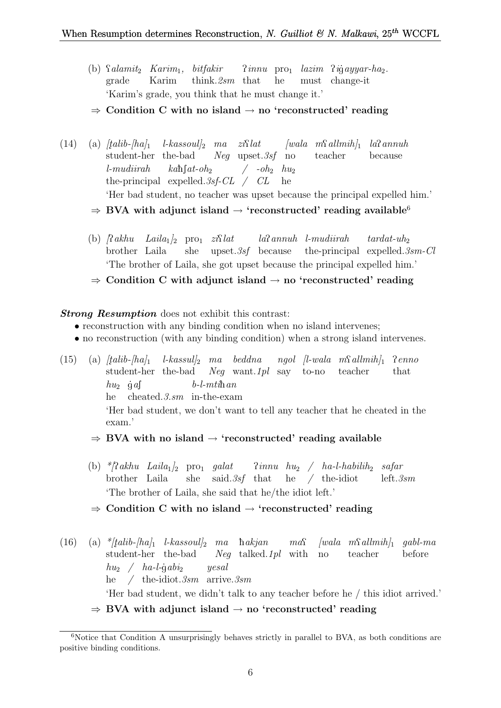(b) *Salamit*<sub>2</sub> *Karim*<sub>1</sub>, *bitfakir* grade Karim think.2sm that Pinnu pro<sup>1</sup> lazim Pi gayyar-ha2. he must change-it 'Karim's grade, you think that he must change it.'

#### $\Rightarrow$  Condition C with no island  $\rightarrow$  no 'reconstructed' reading

- $(14)$  (a)  $[talib-hal]$ student-her the-bad  $l$ -kassoul]<sub>2</sub> ma zi $\Omega$ lat Neg upset.3sf no  $[wala \t m\Omega] \t n\Omega$ annuh teacher because l-mudiirah the-principal expelled. 3sf-CL / CL  $kab$ [ $at$ - $oh$ <sub>2</sub>]  $/$  -oh<sub>2</sub>  $hu_2$ he 'Her bad student, no teacher was upset because the principal expelled him.'  $\Rightarrow$  BVA with adjunct island  $\rightarrow$  'reconstructed' reading available<sup>6</sup>
	- (b)  $\int \mathcal{R} a k h u$   $Laila_1 \vert_2$  pro<sub>1</sub>  $zi \mathcal{R} l$ brother Laila she upset.3sf because the-principal expelled.3sm-Cl laPannuh l-mudiirah  $tardat$ -uh<sub>2</sub> 'The brother of Laila, she got upset because the principal expelled him.'
	- $\Rightarrow$  Condition C with adjunct island  $\rightarrow$  no 'reconstructed' reading

#### **Strong Resumption** does not exhibit this contrast:

- reconstruction with any binding condition when no island intervenes;
- no reconstruction (with any binding condition) when a strong island intervenes.

 $(15)$  (a)  $[talib-ha]_1$ student-her the-bad Neg want.1pl say to-no  $\emph{l-kassul}|_2$  ma beddna ngol [l-wala m $\emph{Sallmih}|_1$  ?enno teacher that  $hu_2$  gas he cheated.3.sm in-the-exam  $b$ -l- $mti\hbar$  an 'Her bad student, we don't want to tell any teacher that he cheated in the exam.'

- $\Rightarrow$  BVA with no island  $\rightarrow$  'reconstructed' reading available
- (b)  $*$ [?akhu Laila<sub>1</sub>]<sub>2</sub> pro<sub>1</sub> galat brother Laila she said.3sf that  $\lim_{h \to 2}$  /  $ha-l-habilih_2$  safar he / the-idiot left.3sm 'The brother of Laila, she said that he/the idiot left.'
- $\Rightarrow$  Condition C with no island  $\rightarrow$  'reconstructed' reading
- $(16)$  (a) \*/talib-/ha/1 l-kassoul/2 ma hakjan student-her the-bad Neg talked.1pl with  $ma\Omega$  $[wala \ m\Omega] \tanh_1 \ gab1-ma$ no teacher before  $hu_2 \quad / \quad ha$ -l-gabi<sub>2</sub> he / the-idiot.3sm arrive.3sm yesal 'Her bad student, we didn't talk to any teacher before he / this idiot arrived.'
	- $\Rightarrow$  BVA with adjunct island  $\rightarrow$  no 'reconstructed' reading

 $6$ Notice that Condition A unsurprisingly behaves strictly in parallel to BVA, as both conditions are positive binding conditions.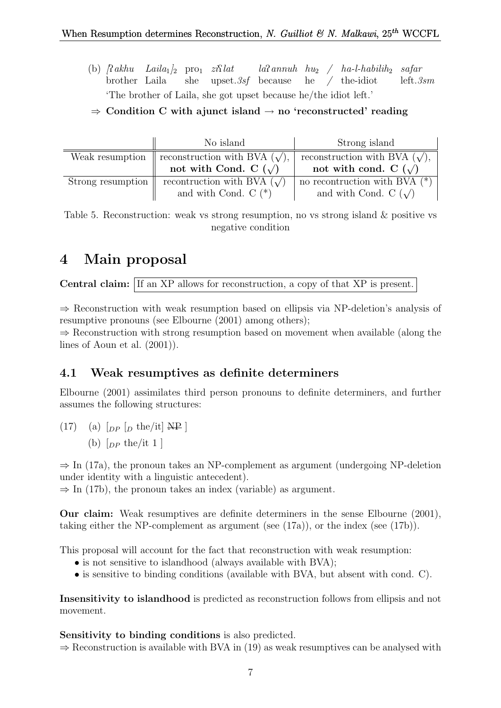- (b)  $\int \mathcal{R} a k h u$  Laila<sub>1</sub>  $\int_2$  pro<sub>1</sub>  $z i \mathcal{R} l a t$ brother Laila she upset.3sf because he / the-idiot  $la$ annuh hu<sub>2</sub> / ha-l-habilih<sub>2</sub> safar left.3sm 'The brother of Laila, she got upset because he/the idiot left.'
- $\Rightarrow$  Condition C with a junct island  $\rightarrow$  no 'reconstructed' reading

|                   | No island                           | Strong island                       |
|-------------------|-------------------------------------|-------------------------------------|
| Weak resumption   | reconstruction with BVA $(\sqrt)$ , | reconstruction with BVA $(\sqrt)$ , |
|                   | not with Cond. C $(\sqrt)$          | not with cond. C $(\sqrt)$          |
| Strong resumption | recontruction with BVA $(\sqrt)$    | no recontruction with BVA $(*)$     |
|                   | and with Cond. $C$ $(*)$            | and with Cond. C $(\sqrt)$          |

Table 5. Reconstruction: weak vs strong resumption, no vs strong island & positive vs negative condition

## 4 Main proposal

Central claim: If an XP allows for reconstruction, a copy of that XP is present.

⇒ Reconstruction with weak resumption based on ellipsis via NP-deletion's analysis of resumptive pronouns (see Elbourne (2001) among others);

 $\Rightarrow$  Reconstruction with strong resumption based on movement when available (along the lines of Aoun et al. (2001)).

### 4.1 Weak resumptives as definite determiners

Elbourne (2001) assimilates third person pronouns to definite determiners, and further assumes the following structures:

 $(17)$  (a)  $\lceil_{DP} \rceil_D$  the/it NP ] (b)  $\lceil_{DP}$  the/it 1 ]

 $\Rightarrow$  In (17a), the pronoun takes an NP-complement as argument (undergoing NP-deletion under identity with a linguistic antecedent).

 $\Rightarrow$  In (17b), the pronoun takes an index (variable) as argument.

Our claim: Weak resumptives are definite determiners in the sense Elbourne (2001), taking either the NP-complement as argument (see  $(17a)$ ), or the index (see  $(17b)$ ).

This proposal will account for the fact that reconstruction with weak resumption:

- is not sensitive to islandhood (always available with BVA);
- is sensitive to binding conditions (available with BVA, but absent with cond. C).

Insensitivity to islandhood is predicted as reconstruction follows from ellipsis and not movement.

Sensitivity to binding conditions is also predicted.

 $\Rightarrow$  Reconstruction is available with BVA in (19) as weak resumptives can be analysed with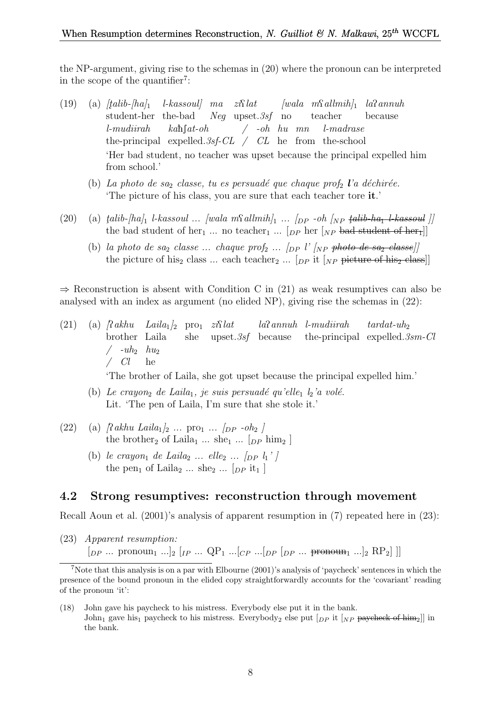the NP-argument, giving rise to the schemas in (20) where the pronoun can be interpreted in the scope of the quantifier<sup>7</sup>:

- (19) (a)  $[tali b h a]_1$ student-her the-bad  $l$ -kassoul] ma zi $\Omega$ lat Neg upset.3sf no  $[wala \t mSallmih]_1$   $la$ sannuh teacher because l-mudiirah the-principal expelled. 3sf-CL / CL he from the-school  $k$ ahf $at$ -oh / -oh hu mn l-madrase 'Her bad student, no teacher was upset because the principal expelled him from school.'
	- (b) La photo de saz classe, tu es persuadé que chaque prof<sub>2</sub> l'a déchirée. 'The picture of his class, you are sure that each teacher tore it.'
- (20) (a)  $tali b$ - $haj_1$  l-kassoul ...  $[wala \ m\Omega]$  ...  $[p \sim b \ [Np \ tali b$ -ha<sub>1</sub> l-kassoul  $]$ the bad student of her<sub>1</sub> ... no teacher<sub>1</sub> ... [<sub>DP</sub> her [<sub>NP</sub> bad student of her<sub>r</sub>]]
	- (b) la photo de sa<sub>2</sub> classe ... chaque prof<sub>2</sub> ...  $\langle$ <sub>DP</sub> l' $\langle$ <sub>NP</sub> photo de sa<sub>2</sub> classe) the picture of his<sub>2</sub> class ... each teacher<sub>2</sub> ... [ $_{DP}$  it [ $_{NP}$  picture of his<sub>2</sub> class]]

 $\Rightarrow$  Reconstruction is absent with Condition C in (21) as weak resumptives can also be analysed with an index as argument (no elided NP), giving rise the schemas in (22):

- (21) (a)  $\int \mathcal{R} \, dkhu$   $Laila_1\vert_2$  pro<sub>1</sub>  $zi\mathcal{R} \mathcal{R}$ brother Laila she upset.3sf because laPannuh l-mudiirah the-principal expelled. 3sm-Cl  $tardat$ -uh<sub>2</sub>  $/$  -uh<sub>2</sub>  $hu_2$ / Cl he 'The brother of Laila, she got upset because the principal expelled him.'
	- (b) Le crayon<sub>2</sub> de Laila<sub>1</sub>, je suis persuadé qu'elle<sub>1</sub>  $l_2$ 'a volé. Lit. 'The pen of Laila, I'm sure that she stole it.'
- (22) (a)  $\int_0^{\infty} R_{\alpha} h u \, L \alpha \, i a_1 \, \big|_{2} \ldots \, \text{pro}_1 \, \ldots \, \big|_{DP} \, -oh_2 \, \big|_{2}$ the brother<sub>2</sub> of Laila<sub>1</sub> ... she<sub>1</sub> ... [<sub>DP</sub> him<sub>2</sub>]
	- (b) le crayon<sub>1</sub> de Laila<sub>2</sub> ... elle<sub>2</sub> ...  $\lceil \ln \frac{1}{l} \rceil$ the pen<sub>1</sub> of Laila<sub>2</sub> ... she<sub>2</sub> ... [ $_{DP}$  it<sub>1</sub>]

#### 4.2 Strong resumptives: reconstruction through movement

Recall Aoun et al. (2001)'s analysis of apparent resumption in (7) repeated here in (23):

(23) Apparent resumption:  $[p_P \dots \text{ pronoun}_1 \dots]_2 [ip \dots QP_1 \dots [cp \dots [pp \ p_P \dots \text{ pronoun}_1 \dots]_2 RP_2]$ 

<sup>7</sup>Note that this analysis is on a par with Elbourne (2001)'s analysis of 'paycheck' sentences in which the presence of the bound pronoun in the elided copy straightforwardly accounts for the 'covariant' reading of the pronoun 'it':

<sup>(18)</sup> John gave his paycheck to his mistress. Everybody else put it in the bank. John<sub>1</sub> gave his<sub>1</sub> paycheck to his mistress. Everybody<sub>2</sub> else put  $\lceil_{DP}$  it  $\lceil_{NP}$  paycheck of him<sub>2</sub>]] in the bank.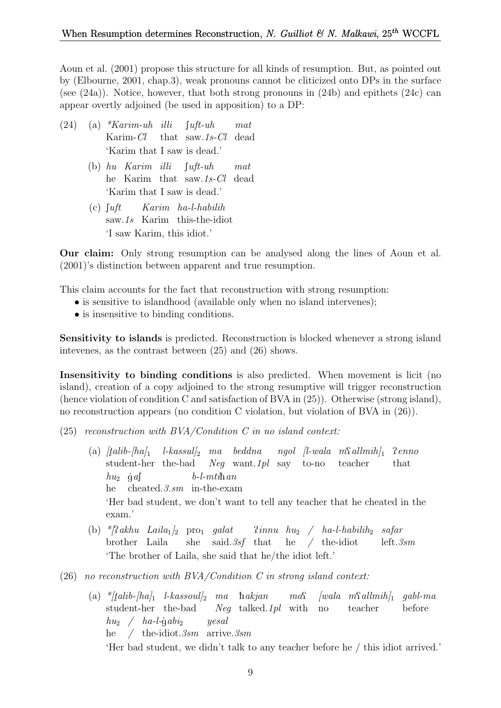Aoun et al. (2001) propose this structure for all kinds of resumption. But, as pointed out by (Elbourne, 2001, chap.3), weak pronouns cannot be cliticized onto DPs in the surface (see  $(24a)$ ). Notice, however, that both strong pronouns in  $(24b)$  and epithets  $(24c)$  can appear overtly adjoined (be used in apposition) to a DP:

- $(24)$  (a) \*Karim-uh illi Karim-Cl that saw.1s-Cl dead  $\int u \, dt$ -uh mat 'Karim that I saw is dead.'
	- (b) hu Karim illi he Karim that saw.1s-Cl dead  $\lceil$ uft-uh mat 'Karim that I saw is dead.'
	- $(c)$  fuft saw.1s Karim this-the-idiot Karim ha-l-habilih 'I saw Karim, this idiot.'

Our claim: Only strong resumption can be analysed along the lines of Aoun et al. (2001)'s distinction between apparent and true resumption.

This claim accounts for the fact that reconstruction with strong resumption:

- is sensitive to islandhood (available only when no island intervenes);
- is insensitive to binding conditions.

Sensitivity to islands is predicted. Reconstruction is blocked whenever a strong island intevenes, as the contrast between (25) and (26) shows.

Insensitivity to binding conditions is also predicted. When movement is licit (no island), creation of a copy adjoined to the strong resumptive will trigger reconstruction (hence violation of condition C and satisfaction of BVA in (25)). Otherwise (strong island), no reconstruction appears (no condition C violation, but violation of BVA in (26)).

- $(25)$  reconstruction with BVA/Condition C in no island context:
	- (a)  $[talib-|ha]_1$ student-her the-bad  $\ell$ -kassul $\ell_2$  ma beddna Neg want.1pl say to-no ngol [l-wala m $\Omega$ allmih]<sup>1</sup> teacher Penno that  $hu_2$  gas he cheated.3.sm in-the-exam  $b$ -l- $mti$ han 'Her bad student, we don't want to tell any teacher that he cheated in the exam.'
	- (b) \*/?akhu Laila<sub>1</sub>/<sub>2</sub> pro<sub>1</sub> galat brother Laila she said.3sf that  $\lim_{n \to \infty}$   $\frac{h u_2}{n}$   $\frac{h a - l - h a b i l h_2}{n}$  safar he / the-idiot left.3sm 'The brother of Laila, she said that he/the idiot left.'
- (26) no reconstruction with  $BVA/Condition C$  in strong island context:
	- $\alpha$   $\qquad$   $\qquad$   $\qquad$   $\qquad$   $\qquad$   $\qquad$   $\qquad$   $\qquad$   $\qquad$   $\qquad$   $\qquad$   $\qquad$   $\qquad$   $\qquad$   $\qquad$   $\qquad$   $\qquad$   $\qquad$   $\qquad$   $\qquad$   $\qquad$   $\qquad$   $\qquad$   $\qquad$   $\qquad$   $\qquad$   $\qquad$   $\qquad$   $\qquad$   $\qquad$   $\qquad$   $\qquad$   $\qquad$   $\qquad$   $\qquad$   $\qquad$  student-her the-bad Neg talked.1pl with no teacher before  $hu_2 \quad / \quad ha$ -l-gabi<sub>2</sub> he / the-idiot.3sm arrive.3sm yesal 'Her bad student, we didn't talk to any teacher before he / this idiot arrived.'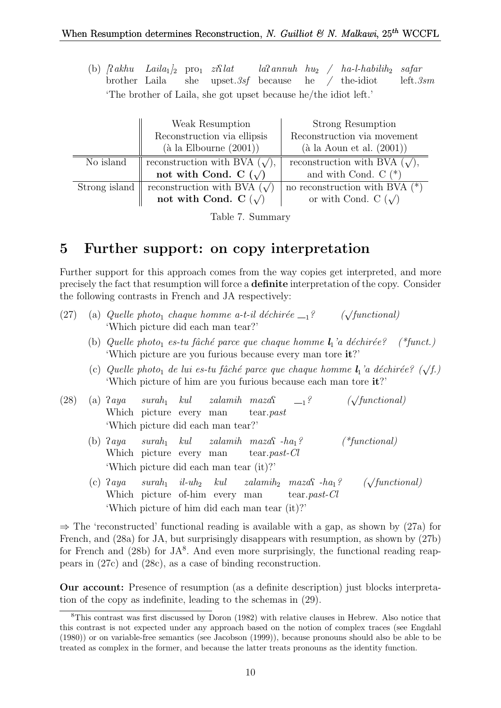(b)  $\int \mathcal{R} a k h u$  Laila<sub>1</sub>  $\int_2$  pro<sub>1</sub>  $z i \mathcal{R} l a t$ brother Laila she upset.3sf because  $la$ annuh hu<sub>2</sub> / ha-l-habilih<sub>2</sub> safar he / the-idiot left.3sm 'The brother of Laila, she got upset because he/the idiot left.'

|               | Weak Resumption                           | <b>Strong Resumption</b>               |  |
|---------------|-------------------------------------------|----------------------------------------|--|
|               | Reconstruction via ellipsis               | Reconstruction via movement            |  |
|               | $(\grave{a} \text{ la Elbourne } (2001))$ | $(\text{à la Aoun et al. } (2001))$    |  |
| No island     | reconstruction with BVA $(\sqrt{\ }$ ,    | reconstruction with BVA $(\sqrt{\ }),$ |  |
|               | not with Cond. C $(\sqrt)$                | and with Cond. $C$ $(*)$               |  |
| Strong island | reconstruction with BVA $(\sqrt)$         | no reconstruction with BVA $(*)$       |  |
|               | not with Cond. C $(\sqrt)$                | or with Cond. C $(\sqrt)$              |  |

Table 7. Summary

## 5 Further support: on copy interpretation

Further support for this approach comes from the way copies get interpreted, and more precisely the fact that resumption will force a definite interpretation of the copy. Consider the following contrasts in French and JA respectively:

|  |                                    | (27) (a) Quelle photo <sub>1</sub> chaque homme a-t-il déchirée $-1$ ? | $(\sqrt{functional})$ |
|--|------------------------------------|------------------------------------------------------------------------|-----------------------|
|  | 'Which picture did each man tear?' |                                                                        |                       |

- (b) Quelle photo<sub>1</sub> es-tu fâché parce que chaque homme  $l_1$ 'a déchirée? (\*funct.) 'Which picture are you furious because every man tore it?'
- (c) Quelle photo<sub>1</sub> de lui es-tu fâché parce que chaque homme  $l_1$ 'a déchirée? ( $\sqrt{f}$ .) 'Which picture of him are you furious because each man tore it?'

| (28) |  |  |                                    | (a) $2aya \quad surah_1 \quad kul \quad zalamih \quad maxa_1^2 \quad \text{---}$<br>Which picture every man tear.past | $(\sqrt{functional})$ |
|------|--|--|------------------------------------|-----------------------------------------------------------------------------------------------------------------------|-----------------------|
|      |  |  | 'Which picture did each man tear?' |                                                                                                                       |                       |

- $(b)$  *Paya* Which picture every man  $\textit{surah}_1$   $\textit{kul}$  $zalamih$   $maxaf$   $-ha<sub>1</sub>?$  (\*functional) tear.past-Cl 'Which picture did each man tear (it)?'
- $(c)$  ? aya Which picture of-him every man  $\textit{surah}_1$  il-uh<sub>2</sub> kul  $zalamih_2$  maza $\Omega$  -ha<sub>1</sub>? ( $\sqrt{}$  $(\sqrt{functional})$ tear.past-Cl 'Which picture of him did each man tear (it)?'

 $\Rightarrow$  The 'reconstructed' functional reading is available with a gap, as shown by (27a) for French, and (28a) for JA, but surprisingly disappears with resumption, as shown by (27b) for French and  $(28b)$  for JA<sup>8</sup>. And even more surprisingly, the functional reading reappears in (27c) and (28c), as a case of binding reconstruction.

Our account: Presence of resumption (as a definite description) just blocks interpretation of the copy as indefinite, leading to the schemas in (29).

<sup>8</sup>This contrast was first discussed by Doron (1982) with relative clauses in Hebrew. Also notice that this contrast is not expected under any approach based on the notion of complex traces (see Engdahl (1980)) or on variable-free semantics (see Jacobson (1999)), because pronouns should also be able to be treated as complex in the former, and because the latter treats pronouns as the identity function.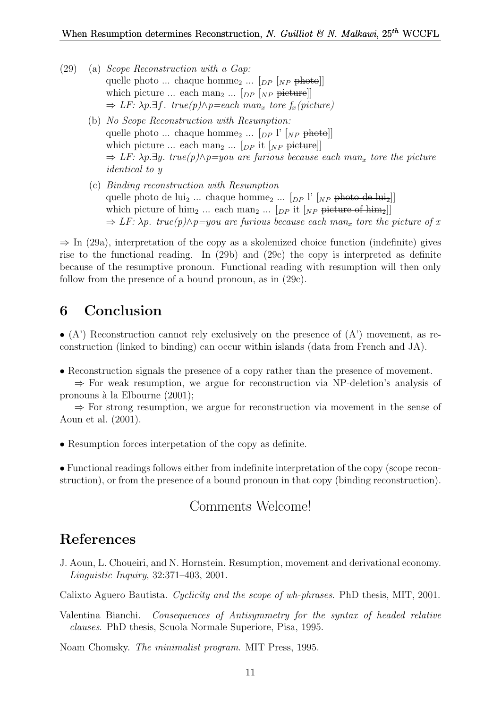- (29) (a) Scope Reconstruction with a Gap: quelle photo ... chaque homme<sub>2</sub> ...  $\lceil_{DP} \rceil_{NP}$  photo] which picture ... each man<sub>2</sub> ...  $[p \rightarrow p]$  picture  $\Rightarrow$  LF:  $\lambda p.\exists f$ . true(p) $\wedge p = each$  man<sub>x</sub> tore  $f_x(pixture)$ 
	- (b) No Scope Reconstruction with Resumption: quelle photo ... chaque homme<sub>2</sub> ...  $\lceil_{DP} \rceil$ <sup>'</sup>  $\lceil_{NP}$  photo]] which picture ... each man<sub>2</sub> ...  $[p_P]$  it  $[p_P]$  picture  $\Rightarrow$  LF:  $\lambda p.\exists y$ . true(p) $\wedge p=$ you are furious because each man<sub>x</sub> tore the picture identical to y
	- (c) Binding reconstruction with Resumption quelle photo de lui<sub>2</sub> ... chaque homme<sub>2</sub> ...  $[p]$   $[p]$   $[p]$  photo de lui<sub>2</sub>] which picture of him<sub>2</sub> ... each man<sub>2</sub> ... [ $_{DP}$  it [ $_{NP}$  picture of him<sub>2</sub>]]  $\Rightarrow$  LF:  $\lambda p$ . true(p) $\wedge p =$ you are furious because each man<sub>x</sub> tore the picture of x

 $\Rightarrow$  In (29a), interpretation of the copy as a skolemized choice function (indefinite) gives rise to the functional reading. In (29b) and (29c) the copy is interpreted as definite because of the resumptive pronoun. Functional reading with resumption will then only follow from the presence of a bound pronoun, as in (29c).

## 6 Conclusion

 $\bullet$  (A') Reconstruction cannot rely exclusively on the presence of (A') movement, as reconstruction (linked to binding) can occur within islands (data from French and JA).

• Reconstruction signals the presence of a copy rather than the presence of movement.

 $\Rightarrow$  For weak resumption, we argue for reconstruction via NP-deletion's analysis of pronouns à la Elbourne  $(2001);$ 

 $\Rightarrow$  For strong resumption, we argue for reconstruction via movement in the sense of Aoun et al. (2001).

• Resumption forces interpetation of the copy as definite.

• Functional readings follows either from indefinite interpretation of the copy (scope reconstruction), or from the presence of a bound pronoun in that copy (binding reconstruction).

### Comments Welcome!

### References

J. Aoun, L. Choueiri, and N. Hornstein. Resumption, movement and derivational economy. Linguistic Inquiry, 32:371–403, 2001.

Calixto Aguero Bautista. Cyclicity and the scope of wh-phrases. PhD thesis, MIT, 2001.

Valentina Bianchi. Consequences of Antisymmetry for the syntax of headed relative clauses. PhD thesis, Scuola Normale Superiore, Pisa, 1995.

Noam Chomsky. The minimalist program. MIT Press, 1995.